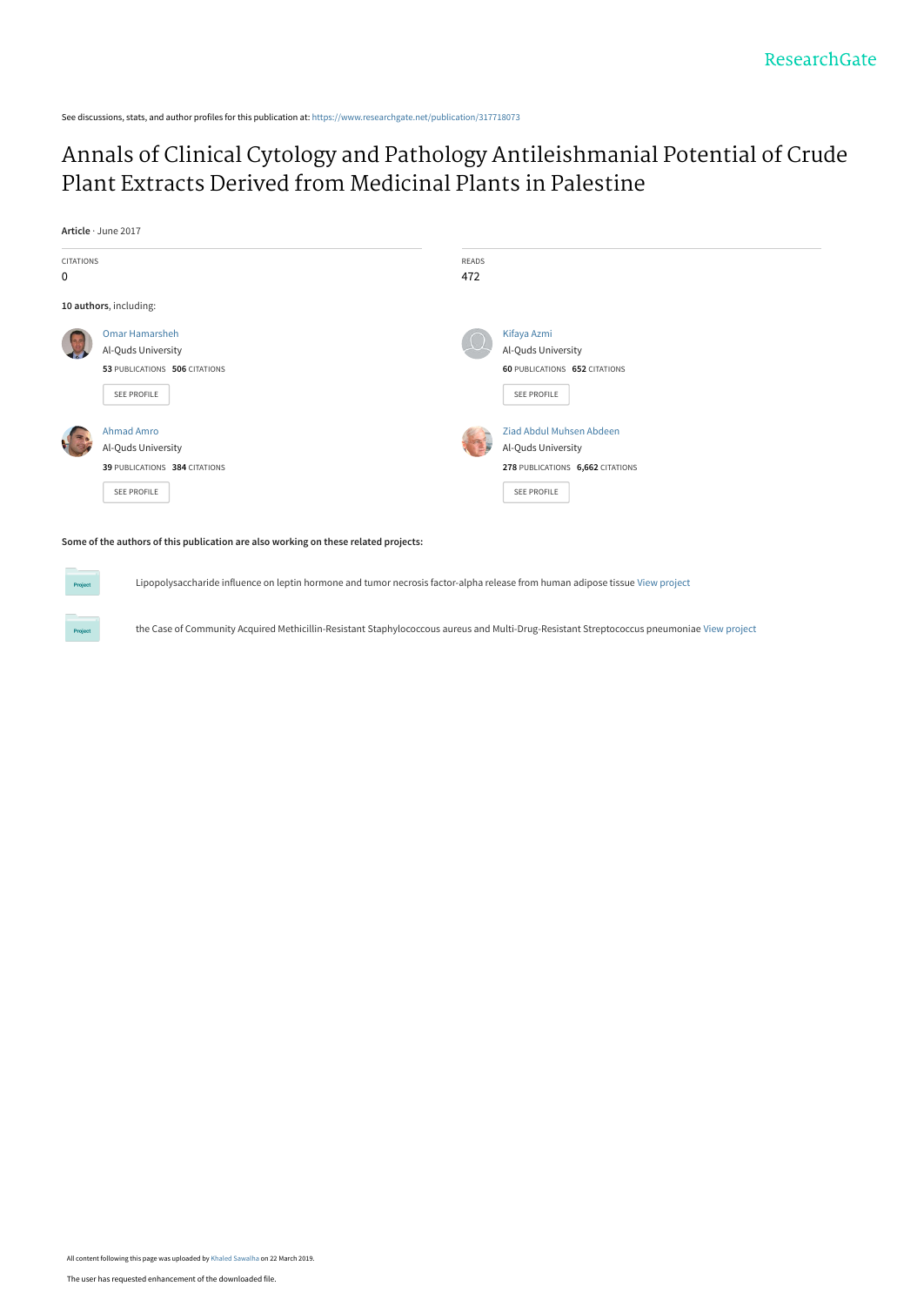See discussions, stats, and author profiles for this publication at: [https://www.researchgate.net/publication/317718073](https://www.researchgate.net/publication/317718073_Annals_of_Clinical_Cytology_and_Pathology_Antileishmanial_Potential_of_Crude_Plant_Extracts_Derived_from_Medicinal_Plants_in_Palestine?enrichId=rgreq-7a6371442e33052938ec9f0f379be799-XXX&enrichSource=Y292ZXJQYWdlOzMxNzcxODA3MztBUzo3MzkzNTEyNTIxOTczNzhAMTU1MzI4NjQ4MzU0OA%3D%3D&el=1_x_2&_esc=publicationCoverPdf)

# [Annals of Clinical Cytology and Pathology Antileishmanial Potential of Crude](https://www.researchgate.net/publication/317718073_Annals_of_Clinical_Cytology_and_Pathology_Antileishmanial_Potential_of_Crude_Plant_Extracts_Derived_from_Medicinal_Plants_in_Palestine?enrichId=rgreq-7a6371442e33052938ec9f0f379be799-XXX&enrichSource=Y292ZXJQYWdlOzMxNzcxODA3MztBUzo3MzkzNTEyNTIxOTczNzhAMTU1MzI4NjQ4MzU0OA%3D%3D&el=1_x_3&_esc=publicationCoverPdf) Plant Extracts Derived from Medicinal Plants in Palestine

**Article** · June 2017



#### **Some of the authors of this publication are also working on these related projects:**

Lipopolysaccharide influence on leptin hormone and tumor necrosis factor-alpha release from human adipose tissue [View project](https://www.researchgate.net/project/Lipopolysaccharide-influence-on-leptin-hormone-and-tumor-necrosis-factor-alpha-release-from-human-adipose-tissue?enrichId=rgreq-7a6371442e33052938ec9f0f379be799-XXX&enrichSource=Y292ZXJQYWdlOzMxNzcxODA3MztBUzo3MzkzNTEyNTIxOTczNzhAMTU1MzI4NjQ4MzU0OA%3D%3D&el=1_x_9&_esc=publicationCoverPdf)

the Case of Community Acquired Methicillin-Resistant Staphylococcous aureus and Multi-Drug-Resistant Streptococcus pneumoniae [View project](https://www.researchgate.net/project/the-Case-of-Community-Acquired-Methicillin-Resistant-Staphylococcous-aureus-and-Multi-Drug-Resistant-Streptococcus-pneumoniae?enrichId=rgreq-7a6371442e33052938ec9f0f379be799-XXX&enrichSource=Y292ZXJQYWdlOzMxNzcxODA3MztBUzo3MzkzNTEyNTIxOTczNzhAMTU1MzI4NjQ4MzU0OA%3D%3D&el=1_x_9&_esc=publicationCoverPdf)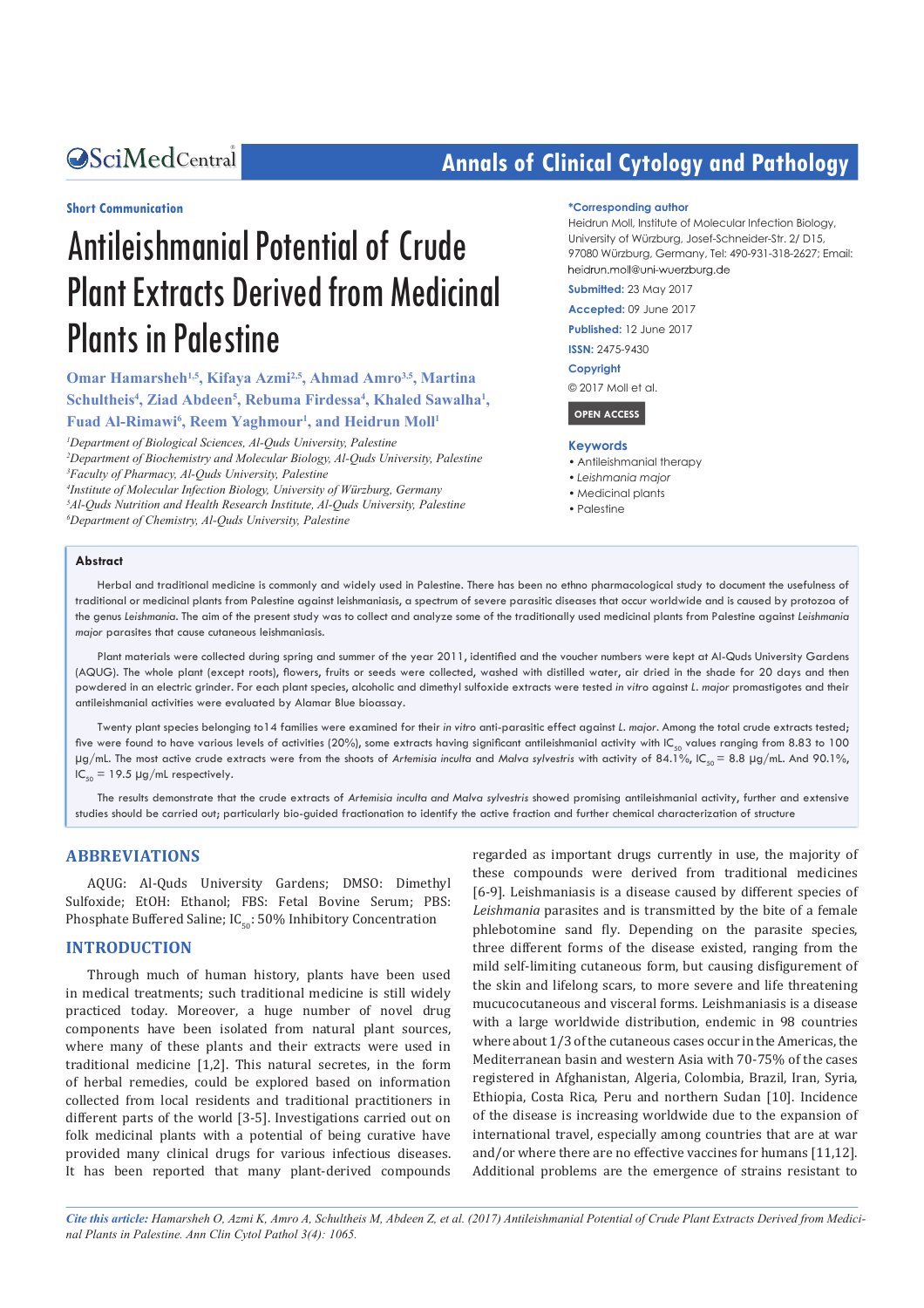#### **Short Communication**

# Antileishmanial Potential of Crude Plant Extracts Derived from Medicinal Plants in Palestine

**Omar Hamarsheh1,5, Kifaya Azmi2,5, Ahmad Amro3,5, Martina**  Schultheis<sup>4</sup>, Ziad Abdeen<sup>5</sup>, Rebuma Firdessa<sup>4</sup>, Khaled Sawalha<sup>1</sup>, Fuad Al-Rimawi<sup>6</sup>, Reem Yaghmour<sup>1</sup>, and Heidrun Moll<sup>1</sup>

 *Department of Biological Sciences, Al-Quds University, Palestine Department of Biochemistry and Molecular Biology, Al-Quds University, Palestine Faculty of Pharmacy, Al-Quds University, Palestine Institute of Molecular Infection Biology, University of Würzburg, Germany Al-Quds Nutrition and Health Research Institute, Al-Quds University, Palestine Department of Chemistry, Al-Quds University, Palestine*

# **Annals of Clinical Cytology and Pathology**

#### **\*Corresponding author**

Heidrun Moll, Institute of Molecular Infection Biology, University of Würzburg, Josef-Schneider-Str. 2/ D15, 97080 Würzburg, Germany, Tel: 490-931-318-2627; Email: heidrun.moll@uni-wuerzburg.de

**Submitted:** 23 May 2017

**Accepted:** 09 June 2017

**Published:** 12 June 2017

**ISSN:** 2475-9430

**Copyright**

© 2017 Moll et al.

 **OPEN ACCESS** 

#### **Keywords**

- • Antileishmanial therapy
- *• Leishmania major*
- • Medicinal plants
- Palestine

#### **Abstract**

Herbal and traditional medicine is commonly and widely used in Palestine. There has been no ethno pharmacological study to document the usefulness of traditional or medicinal plants from Palestine against leishmaniasis, a spectrum of severe parasitic diseases that occur worldwide and is caused by protozoa of the genus *Leishmania*. The aim of the present study was to collect and analyze some of the traditionally used medicinal plants from Palestine against *Leishmania major* parasites that cause cutaneous leishmaniasis.

Plant materials were collected during spring and summer of the year 2011, identifed and the voucher numbers were kept at Al-Quds University Gardens (AQUG). The whole plant (except roots), fowers, fruits or seeds were collected, washed with distilled water, air dried in the shade for 20 days and then powdered in an electric grinder. For each plant species, alcoholic and dimethyl sulfoxide extracts were tested *in vitro* against *L. major* promastigotes and their antileishmanial activities were evaluated by Alamar Blue bioassay.

Twenty plant species belonging to14 families were examined for their *in vitro* anti-parasitic effect against *L. major.* Among the total crude extracts tested; five were found to have various levels of activities (20%), some extracts having significant antileishmanial activity with IC<sub>50</sub> values ranging from 8.83 to 100 µg/mL. The most active crude extracts were from the shoots of *Artemisia inculta* and *Malva sylvestris* with activity of 84.1%, IC<sub>5</sub> = 8.8 µg/mL. And 90.1%,  $IC_{50} = 19.5 \mu g/mL$  respectively.

The results demonstrate that the crude extracts of *Artemisia inculta and Malva sylvestris* showed promising antileishmanial activity, further and extensive studies should be carried out; particularly bio-guided fractionation to identify the active fraction and further chemical characterization of structure

#### **ABBREVIATIONS**

AQUG: Al-Quds University Gardens; DMSO: Dimethyl Sulfoxide; EtOH: Ethanol; FBS: Fetal Bovine Serum; PBS: Phosphate Buffered Saline;  $IC_{50}$ : 50% Inhibitory Concentration

#### **INTRODUCTION**

Through much of human history, plants have been used in medical treatments; such traditional medicine is still widely practiced today. Moreover, a huge number of novel drug components have been isolated from natural plant sources, where many of these plants and their extracts were used in traditional medicine [1,2]. This natural secretes, in the form of herbal remedies, could be explored based on information collected from local residents and traditional practitioners in different parts of the world [3-5]. Investigations carried out on folk medicinal plants with a potential of being curative have provided many clinical drugs for various infectious diseases. It has been reported that many plant-derived compounds

regarded as important drugs currently in use, the majority of these compounds were derived from traditional medicines [6-9]. Leishmaniasis is a disease caused by different species of *Leishmania* parasites and is transmitted by the bite of a female phlebotomine sand fly. Depending on the parasite species, three different forms of the disease existed, ranging from the mild self-limiting cutaneous form, but causing disfigurement of the skin and lifelong scars, to more severe and life threatening mucucocutaneous and visceral forms. Leishmaniasis is a disease with a large worldwide distribution, endemic in 98 countries where about 1/3 of the cutaneous cases occur in the Americas, the Mediterranean basin and western Asia with 70-75% of the cases registered in Afghanistan, Algeria, Colombia, Brazil, Iran, Syria, Ethiopia, Costa Rica, Peru and northern Sudan [10]. Incidence of the disease is increasing worldwide due to the expansion of international travel, especially among countries that are at war and/or where there are no effective vaccines for humans [11,12]. Additional problems are the emergence of strains resistant to

*Cite this article: Hamarsheh O, Azmi K, Amro A, Schultheis M, Abdeen Z, et al. (2017) Antileishmanial Potential of Crude Plant Extracts Derived from Medicinal Plants in Palestine. Ann Clin Cytol Pathol 3(4): 1065.*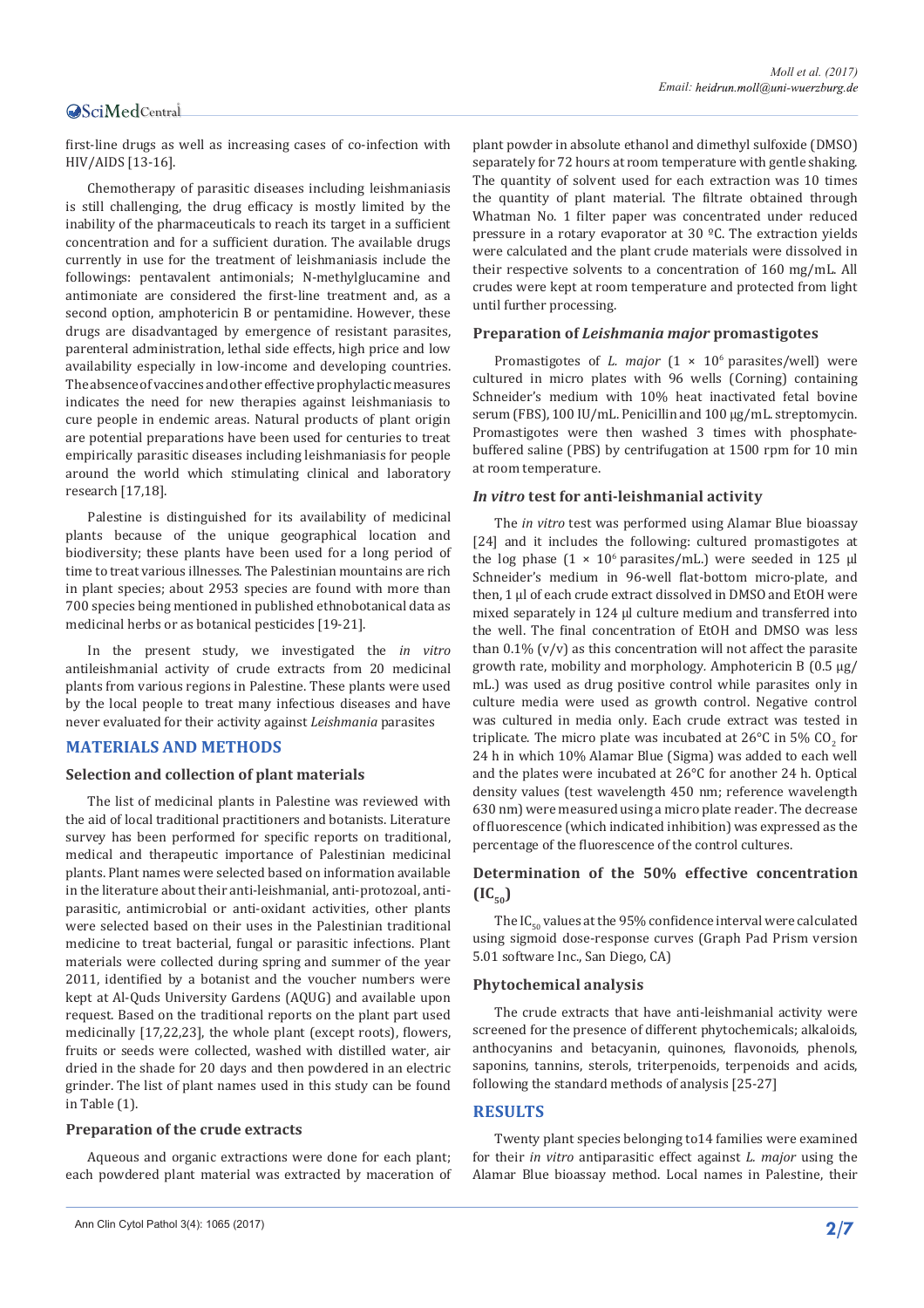first-line drugs as well as increasing cases of co-infection with HIV/AIDS [13-16].

Chemotherapy of parasitic diseases including leishmaniasis is still challenging, the drug efficacy is mostly limited by the inability of the pharmaceuticals to reach its target in a sufficient concentration and for a sufficient duration*.* The available drugs currently in use for the treatment of leishmaniasis include the followings: pentavalent antimonials; N-methylglucamine and antimoniate are considered the first-line treatment and, as a second option, amphotericin B or pentamidine. However, these drugs are disadvantaged by emergence of resistant parasites, parenteral administration, lethal side effects, high price and low availability especially in low-income and developing countries. The absence of vaccines and other effective prophylactic measures indicates the need for new therapies against leishmaniasis to cure people in endemic areas. Natural products of plant origin are potential preparations have been used for centuries to treat empirically parasitic diseases including leishmaniasis for people around the world which stimulating clinical and laboratory research [17,18].

Palestine is distinguished for its availability of medicinal plants because of the unique geographical location and biodiversity; these plants have been used for a long period of time to treat various illnesses. The Palestinian mountains are rich in plant species; about 2953 species are found with more than 700 species being mentioned in published ethnobotanical data as medicinal herbs or as botanical pesticides [19-21].

In the present study, we investigated the *in vitro* antileishmanial activity of crude extracts from 20 medicinal plants from various regions in Palestine. These plants were used by the local people to treat many infectious diseases and have never evaluated for their activity against *Leishmania* parasites

#### **MATERIALS AND METHODS**

#### **Selection and collection of plant materials**

The list of medicinal plants in Palestine was reviewed with the aid of local traditional practitioners and botanists. Literature survey has been performed for specific reports on traditional, medical and therapeutic importance of Palestinian medicinal plants. Plant names were selected based on information available in the literature about their anti-leishmanial, anti-protozoal, antiparasitic, antimicrobial or anti-oxidant activities, other plants were selected based on their uses in the Palestinian traditional medicine to treat bacterial, fungal or parasitic infections. Plant materials were collected during spring and summer of the year 2011, identified by a botanist and the voucher numbers were kept at Al-Quds University Gardens (AQUG) and available upon request. Based on the traditional reports on the plant part used medicinally [17,22,23], the whole plant (except roots), flowers, fruits or seeds were collected, washed with distilled water, air dried in the shade for 20 days and then powdered in an electric grinder. The list of plant names used in this study can be found in Table (1).

#### **Preparation of the crude extracts**

Aqueous and organic extractions were done for each plant; each powdered plant material was extracted by maceration of

plant powder in absolute ethanol and dimethyl sulfoxide (DMSO) separately for 72 hours at room temperature with gentle shaking. The quantity of solvent used for each extraction was 10 times the quantity of plant material. The filtrate obtained through Whatman No. 1 filter paper was concentrated under reduced pressure in a rotary evaporator at 30 ºC. The extraction yields were calculated and the plant crude materials were dissolved in their respective solvents to a concentration of 160 mg/mL. All crudes were kept at room temperature and protected from light until further processing.

#### **Preparation of** *Leishmania major* **promastigotes**

Promastigotes of *L. major*  $(1 \times 10^6 \text{ parasites/well})$  were cultured in micro plates with 96 wells (Corning) containing Schneider's medium with 10% heat inactivated fetal bovine serum (FBS), 100 IU/mL. Penicillin and 100 μg/mL. streptomycin. Promastigotes were then washed 3 times with phosphatebuffered saline (PBS) by centrifugation at 1500 rpm for 10 min at room temperature.

#### *In vitro* **test for anti-leishmanial activity**

The *in vitro* test was performed using Alamar Blue bioassay [24] and it includes the following: cultured promastigotes at the log phase  $(1 \times 10^6 \text{ parasites/mL})$  were seeded in 125 µl Schneider's medium in 96-well flat-bottom micro-plate, and then, 1 μl of each crude extract dissolved in DMSO and EtOH were mixed separately in 124 μl culture medium and transferred into the well. The final concentration of EtOH and DMSO was less than  $0.1\%$  (v/v) as this concentration will not affect the parasite growth rate, mobility and morphology*.* Amphotericin B (0.5 μg/ mL.) was used as drug positive control while parasites only in culture media were used as growth control. Negative control was cultured in media only. Each crude extract was tested in triplicate. The micro plate was incubated at 26°C in 5% CO<sub>2</sub> for 24 h in which 10% Alamar Blue (Sigma) was added to each well and the plates were incubated at 26°C for another 24 h. Optical density values (test wavelength 450 nm; reference wavelength 630 nm) were measured using a micro plate reader. The decrease of fluorescence (which indicated inhibition) was expressed as the percentage of the fluorescence of the control cultures.

#### **Determination of the 50% effective concentration**   $(IC_{50})$

The IC $_{50}$  values at the 95% confidence interval were calculated using sigmoid dose-response curves (Graph Pad Prism version 5.01 software Inc., San Diego, CA)

#### **Phytochemical analysis**

The crude extracts that have anti-leishmanial activity were screened for the presence of different phytochemicals; alkaloids, anthocyanins and betacyanin, quinones, flavonoids, phenols, saponins, tannins, sterols, triterpenoids, terpenoids and acids, following the standard methods of analysis [25-27]

#### **RESULTS**

Twenty plant species belonging to14 families were examined for their *in vitro* antiparasitic effect against *L. major* using the Alamar Blue bioassay method. Local names in Palestine, their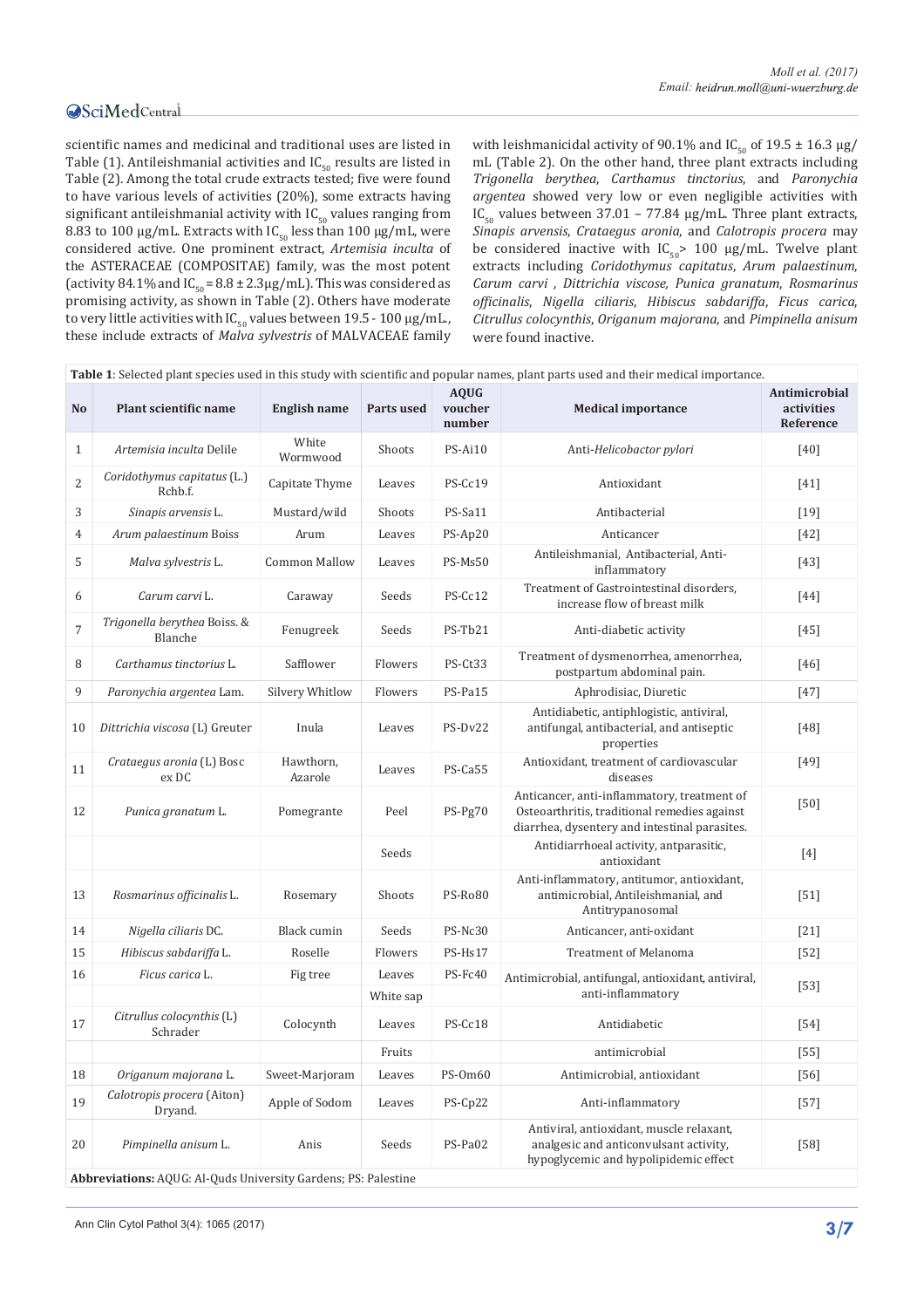scientific names and medicinal and traditional uses are listed in Table (1). Antileishmanial activities and  $IC_{50}$  results are listed in Table (2). Among the total crude extracts tested; five were found to have various levels of activities (20%), some extracts having significant antileishmanial activity with  $IC_{50}$  values ranging from 8.83 to 100  $\mu$ g/mL. Extracts with IC<sub>50</sub> less than 100  $\mu$ g/mL, were considered active. One prominent extract, *Artemisia inculta* of the ASTERACEAE (COMPOSITAE) family, was the most potent (activity 84.1% and  $IC_{50} = 8.8 \pm 2.3 \mu g/mL$ ). This was considered as promising activity, as shown in Table (2). Others have moderate to very little activities with  $IC_{50}$  values between 19.5 - 100  $\mu$ g/mL., these include extracts of *Malva sylvestris* of MALVACEAE family with leishmanicidal activity of 90.1% and IC<sub>50</sub> of 19.5  $\pm$  16.3 µg/ mL (Table 2). On the other hand, three plant extracts including *Trigonella berythea*, *Carthamus tinctorius*, and *Paronychia argentea* showed very low or even negligible activities with IC<sub>50</sub> values between 37.01 – 77.84  $\mu$ g/mL. Three plant extracts, *Sinapis arvensis*, *Crataegus aronia*, and *Calotropis procera* may be considered inactive with  $IC_{50}$  100 µg/mL. Twelve plant extracts including *Coridothymus capitatus*, *Arum palaestinum*, *Carum carvi , Dittrichia viscose, Punica granatum*, *Rosmarinus officinalis*, *Nigella ciliaris*, *Hibiscus sabdariffa*, *Ficus carica*, *Citrullus colocynthis*, *Origanum majorana*, and *Pimpinella anisum* were found inactive.

| Table 1: Selected plant species used in this study with scientific and popular names, plant parts used and their medical importance. |                                                                |                      |            |                                  |                                                                                                                                              |                                          |  |  |  |
|--------------------------------------------------------------------------------------------------------------------------------------|----------------------------------------------------------------|----------------------|------------|----------------------------------|----------------------------------------------------------------------------------------------------------------------------------------------|------------------------------------------|--|--|--|
| No                                                                                                                                   | Plant scientific name                                          | <b>English name</b>  | Parts used | <b>AOUG</b><br>voucher<br>number | <b>Medical importance</b>                                                                                                                    | Antimicrobial<br>activities<br>Reference |  |  |  |
| $\mathbf{1}$                                                                                                                         | Artemisia inculta Delile                                       | White<br>Wormwood    | Shoots     | PS-Ai10                          | Anti-Helicobactor pylori                                                                                                                     | [40]                                     |  |  |  |
| $\overline{2}$                                                                                                                       | Coridothymus capitatus (L.)<br>Rchb.f.                         | Capitate Thyme       | Leaves     | PS-Cc19                          | Antioxidant                                                                                                                                  | [41]                                     |  |  |  |
| 3                                                                                                                                    | Sinapis arvensis L.                                            | Mustard/wild         | Shoots     | PS-Sa11                          | Antibacterial                                                                                                                                | $[19]$                                   |  |  |  |
| $\overline{4}$                                                                                                                       | Arum palaestinum Boiss                                         | Arum                 | Leaves     | PS-Ap20                          | Anticancer                                                                                                                                   | $[42]$                                   |  |  |  |
| 5                                                                                                                                    | Malva sylvestris L.                                            | <b>Common Mallow</b> | Leaves     | PS-Ms50                          | Antileishmanial, Antibacterial, Anti-<br>inflammatory                                                                                        | $[43]$                                   |  |  |  |
| 6                                                                                                                                    | Carum carvi L.                                                 | Caraway              | Seeds      | PS-Cc12                          | Treatment of Gastrointestinal disorders,<br>increase flow of breast milk                                                                     | [44]                                     |  |  |  |
| $\overline{7}$                                                                                                                       | Trigonella berythea Boiss. &<br>Blanche                        | Fenugreek            | Seeds      | PS-Tb21                          | Anti-diabetic activity                                                                                                                       | $[45]$                                   |  |  |  |
| 8                                                                                                                                    | Carthamus tinctorius L.                                        | Safflower            | Flowers    | PS-Ct33                          | Treatment of dysmenorrhea, amenorrhea,<br>postpartum abdominal pain.                                                                         | [46]                                     |  |  |  |
| 9                                                                                                                                    | Paronychia argentea Lam.                                       | Silvery Whitlow      | Flowers    | PS-Pa15                          | Aphrodisiac, Diuretic                                                                                                                        | $[47]$                                   |  |  |  |
| 10                                                                                                                                   | Dittrichia viscosa (L) Greuter                                 | Inula                | Leaves     | PS-Dv22                          | Antidiabetic, antiphlogistic, antiviral,<br>antifungal, antibacterial, and antiseptic<br>properties                                          | [48]                                     |  |  |  |
| 11                                                                                                                                   | Crataegus aronia (L) Bosc<br>ex DC                             | Hawthorn,<br>Azarole | Leaves     | PS-Ca55                          | Antioxidant, treatment of cardiovascular<br>diseases                                                                                         | [49]                                     |  |  |  |
| 12                                                                                                                                   | Punica granatum L.                                             | Pomegrante           | Peel       | PS-Pg70                          | Anticancer, anti-inflammatory, treatment of<br>Osteoarthritis, traditional remedies against<br>diarrhea, dysentery and intestinal parasites. | $[50]$                                   |  |  |  |
|                                                                                                                                      |                                                                |                      | Seeds      |                                  | Antidiarrhoeal activity, antparasitic,<br>antioxidant                                                                                        | $[4]$                                    |  |  |  |
| 13                                                                                                                                   | Rosmarinus officinalis L.                                      | Rosemary             | Shoots     | PS-Ro80                          | Anti-inflammatory, antitumor, antioxidant,<br>antimicrobial, Antileishmanial, and<br>Antitrypanosomal                                        | $[51]$                                   |  |  |  |
| 14                                                                                                                                   | Nigella ciliaris DC.                                           | Black cumin          | Seeds      | PS-Nc30                          | Anticancer, anti-oxidant                                                                                                                     | $[21]$                                   |  |  |  |
| 15                                                                                                                                   | Hibiscus sabdariffa L.                                         | Roselle              | Flowers    | PS-Hs17                          | <b>Treatment of Melanoma</b>                                                                                                                 | $[52]$                                   |  |  |  |
| 16                                                                                                                                   | Ficus carica L.                                                | Fig tree             | Leaves     | PS-Fc40                          | Antimicrobial, antifungal, antioxidant, antiviral,                                                                                           | $[53]$                                   |  |  |  |
|                                                                                                                                      |                                                                |                      | White sap  |                                  | anti-inflammatory                                                                                                                            |                                          |  |  |  |
| 17                                                                                                                                   | Citrullus colocynthis (L)<br>Schrader                          | Colocynth            | Leaves     | PS-Cc18                          | Antidiabetic                                                                                                                                 | $[54]$                                   |  |  |  |
|                                                                                                                                      |                                                                |                      | Fruits     |                                  | antimicrobial                                                                                                                                | $[55]$                                   |  |  |  |
| 18                                                                                                                                   | Origanum majorana L.                                           | Sweet-Marjoram       | Leaves     | PS-0m60                          | Antimicrobial, antioxidant                                                                                                                   | $[56]$                                   |  |  |  |
| 19                                                                                                                                   | Calotropis procera (Aiton)<br>Dryand.                          | Apple of Sodom       | Leaves     | PS-Cp22                          | Anti-inflammatory                                                                                                                            | $[57]$                                   |  |  |  |
| 20                                                                                                                                   | Pimpinella anisum L.                                           | Anis                 | Seeds      | PS-Pa02                          | Antiviral, antioxidant, muscle relaxant,<br>analgesic and anticonvulsant activity,<br>hypoglycemic and hypolipidemic effect                  | $[58]$                                   |  |  |  |
|                                                                                                                                      | Abbreviations: AQUG: Al-Quds University Gardens; PS: Palestine |                      |            |                                  |                                                                                                                                              |                                          |  |  |  |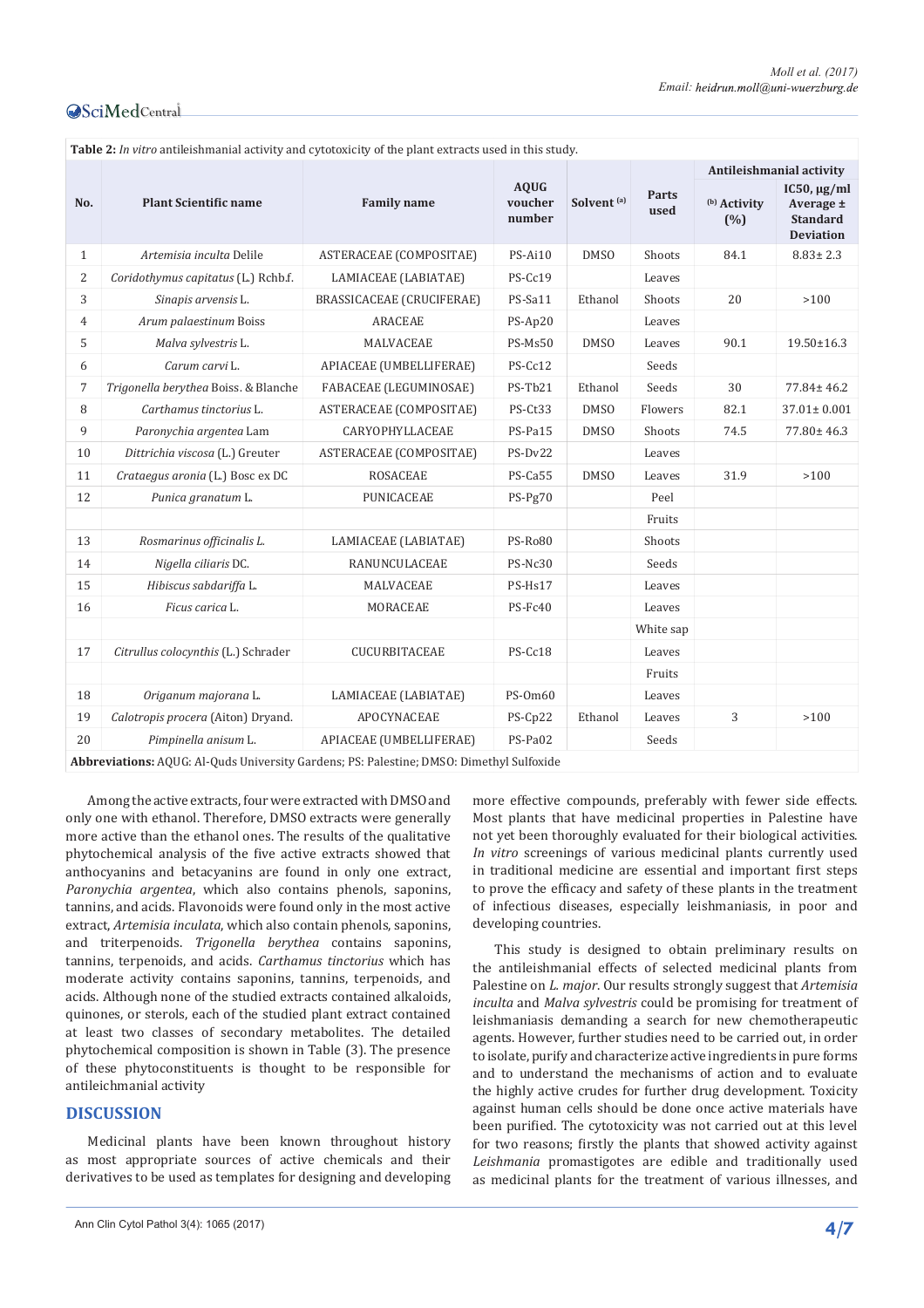| Table 2: In vitro antileishmanial activity and cytotoxicity of the plant extracts used in this study. |                                      |                           |                                  |                        |               |                                |                                                                      |  |  |  |
|-------------------------------------------------------------------------------------------------------|--------------------------------------|---------------------------|----------------------------------|------------------------|---------------|--------------------------------|----------------------------------------------------------------------|--|--|--|
|                                                                                                       |                                      |                           | <b>AOUG</b><br>voucher<br>number | Solvent <sup>(a)</sup> | Parts<br>used | Antileishmanial activity       |                                                                      |  |  |  |
| No.                                                                                                   | <b>Plant Scientific name</b>         | <b>Family name</b>        |                                  |                        |               | <sup>(b)</sup> Activity<br>(%) | IC50, $\mu$ g/ml<br>Average ±<br><b>Standard</b><br><b>Deviation</b> |  |  |  |
| $\mathbf{1}$                                                                                          | Artemisia inculta Delile             | ASTERACEAE (COMPOSITAE)   | $PS-Ai10$                        | <b>DMSO</b>            | Shoots        | 84.1                           | $8.83 \pm 2.3$                                                       |  |  |  |
| 2                                                                                                     | Coridothymus capitatus (L.) Rchb.f.  | LAMIACEAE (LABIATAE)      | PS-Cc19                          |                        | Leaves        |                                |                                                                      |  |  |  |
| 3                                                                                                     | Sinapis arvensis L.                  | BRASSICACEAE (CRUCIFERAE) | PS-Sa11                          | Ethanol                | Shoots        | 20                             | >100                                                                 |  |  |  |
| $\overline{4}$                                                                                        | Arum palaestinum Boiss               | <b>ARACEAE</b>            | PS-Ap20                          |                        | Leaves        |                                |                                                                      |  |  |  |
| 5                                                                                                     | Malva sylvestris L.                  | MALVACEAE                 | PS-Ms50                          | <b>DMSO</b>            | Leaves        | 90.1                           | 19.50±16.3                                                           |  |  |  |
| 6                                                                                                     | Carum carvi L.                       | APIACEAE (UMBELLIFERAE)   | PS-Cc12                          |                        | Seeds         |                                |                                                                      |  |  |  |
| 7                                                                                                     | Trigonella berythea Boiss. & Blanche | FABACEAE (LEGUMINOSAE)    | PS-Tb21                          | Ethanol                | Seeds         | 30                             | $77.84 \pm 46.2$                                                     |  |  |  |
| 8                                                                                                     | Carthamus tinctorius L.              | ASTERACEAE (COMPOSITAE)   | PS-Ct33                          | <b>DMSO</b>            | Flowers       | 82.1                           | $37.01 \pm 0.001$                                                    |  |  |  |
| 9                                                                                                     | Paronychia argentea Lam              | CARYOPHYLLACEAE           | PS-Pa15                          | <b>DMSO</b>            | Shoots        | 74.5                           | $77.80 \pm 46.3$                                                     |  |  |  |
| 10                                                                                                    | Dittrichia viscosa (L.) Greuter      | ASTERACEAE (COMPOSITAE)   | PS-Dv22                          |                        | Leaves        |                                |                                                                      |  |  |  |
| 11                                                                                                    | Crataegus aronia (L.) Bosc ex DC     | <b>ROSACEAE</b>           | PS-Ca55                          | <b>DMSO</b>            | Leaves        | 31.9                           | >100                                                                 |  |  |  |
| 12                                                                                                    | Punica granatum L.                   | <b>PUNICACEAE</b>         | $PS-Pg70$                        |                        | Peel          |                                |                                                                      |  |  |  |
|                                                                                                       |                                      |                           |                                  |                        | Fruits        |                                |                                                                      |  |  |  |
| 13                                                                                                    | Rosmarinus officinalis L.            | LAMIACEAE (LABIATAE)      | PS-Ro80                          |                        | Shoots        |                                |                                                                      |  |  |  |
| 14                                                                                                    | Nigella ciliaris DC.                 | RANUNCULACEAE             | PS-Nc30                          |                        | Seeds         |                                |                                                                      |  |  |  |
| 15                                                                                                    | Hibiscus sabdariffa L.               | MALVACEAE                 | PS-Hs17                          |                        | Leaves        |                                |                                                                      |  |  |  |
| 16                                                                                                    | Ficus carica L.                      | MORACEAE                  | PS-Fc40                          |                        | Leaves        |                                |                                                                      |  |  |  |
|                                                                                                       |                                      |                           |                                  |                        | White sap     |                                |                                                                      |  |  |  |
| 17                                                                                                    | Citrullus colocynthis (L.) Schrader  | CUCURBITACEAE             | PS-Cc18                          |                        | Leaves        |                                |                                                                      |  |  |  |
|                                                                                                       |                                      |                           |                                  |                        | Fruits        |                                |                                                                      |  |  |  |
| 18                                                                                                    | Origanum majorana L.                 | LAMIACEAE (LABIATAE)      | PS-0m60                          |                        | Leaves        |                                |                                                                      |  |  |  |
| 19                                                                                                    | Calotropis procera (Aiton) Dryand.   | <b>APOCYNACEAE</b>        | PS-Cp22                          | Ethanol                | Leaves        | 3                              | >100                                                                 |  |  |  |
| 20                                                                                                    | Pimpinella anisum L.                 | APIACEAE (UMBELLIFERAE)   | PS-Pa02                          |                        | Seeds         |                                |                                                                      |  |  |  |
| Abbreviations: AQUG: Al-Quds University Gardens; PS: Palestine; DMSO: Dimethyl Sulfoxide              |                                      |                           |                                  |                        |               |                                |                                                                      |  |  |  |

Among the active extracts, four were extracted with DMSO and only one with ethanol. Therefore, DMSO extracts were generally more active than the ethanol ones. The results of the qualitative phytochemical analysis of the five active extracts showed that anthocyanins and betacyanins are found in only one extract, *Paronychia argentea*, which also contains phenols, saponins, tannins, and acids. Flavonoids were found only in the most active extract, *Artemisia inculata*, which also contain phenols, saponins, and triterpenoids. *Trigonella berythea* contains saponins, tannins, terpenoids, and acids. *Carthamus tinctorius* which has moderate activity contains saponins, tannins, terpenoids, and acids. Although none of the studied extracts contained alkaloids, quinones, or sterols, each of the studied plant extract contained at least two classes of secondary metabolites. The detailed phytochemical composition is shown in Table (3). The presence of these phytoconstituents is thought to be responsible for antileichmanial activity

#### **DISCUSSION**

Medicinal plants have been known throughout history as most appropriate sources of active chemicals and their derivatives to be used as templates for designing and developing

more effective compounds, preferably with fewer side effects. Most plants that have medicinal properties in Palestine have not yet been thoroughly evaluated for their biological activities. *In vitro* screenings of various medicinal plants currently used in traditional medicine are essential and important first steps to prove the efficacy and safety of these plants in the treatment of infectious diseases, especially leishmaniasis, in poor and developing countries.

This study is designed to obtain preliminary results on the antileishmanial effects of selected medicinal plants from Palestine on *L. major*. Our results strongly suggest that *Artemisia inculta* and *Malva sylvestris* could be promising for treatment of leishmaniasis demanding a search for new chemotherapeutic agents. However, further studies need to be carried out, in order to isolate, purify and characterize active ingredients in pure forms and to understand the mechanisms of action and to evaluate the highly active crudes for further drug development. Toxicity against human cells should be done once active materials have been purified. The cytotoxicity was not carried out at this level for two reasons; firstly the plants that showed activity against *Leishmania* promastigotes are edible and traditionally used as medicinal plants for the treatment of various illnesses, and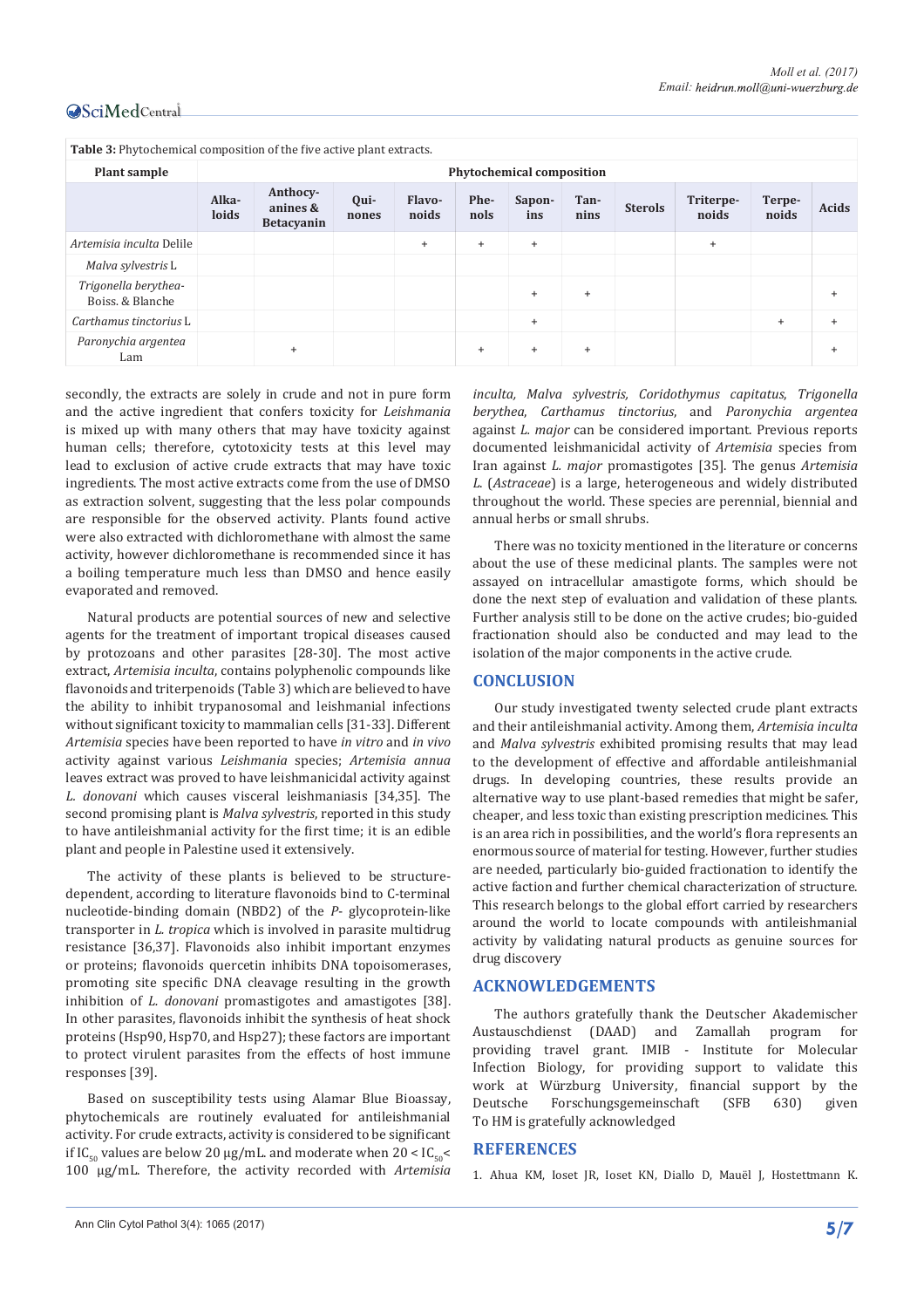| Table 3: Phytochemical composition of the five active plant extracts. |                                  |                                           |               |                        |              |                      |              |                |                    |                 |              |
|-----------------------------------------------------------------------|----------------------------------|-------------------------------------------|---------------|------------------------|--------------|----------------------|--------------|----------------|--------------------|-----------------|--------------|
| Plant sample                                                          | <b>Phytochemical composition</b> |                                           |               |                        |              |                      |              |                |                    |                 |              |
|                                                                       | Alka-<br>loids                   | Anthocy-<br>anines &<br><b>Betacyanin</b> | Qui-<br>nones | <b>Flavo-</b><br>noids | Phe-<br>nols | Sapon-<br><i>ins</i> | Tan-<br>nins | <b>Sterols</b> | Triterpe-<br>noids | Terpe-<br>noids | <b>Acids</b> |
| Artemisia inculta Delile                                              |                                  |                                           |               | $+$                    | $\ddot{}$    | $\ddot{}$            |              |                | $+$                |                 |              |
| Malva sylvestris L                                                    |                                  |                                           |               |                        |              |                      |              |                |                    |                 |              |
| Trigonella berythea-<br>Boiss, & Blanche                              |                                  |                                           |               |                        |              | $^{+}$               | $\pm$        |                |                    |                 | $\ddot{}$    |
| Carthamus tinctorius L                                                |                                  |                                           |               |                        |              | $\ddot{}$            |              |                |                    | $+$             | $+$          |
| Paronychia argentea<br>Lam                                            |                                  | $\ddot{}$                                 |               |                        | $^{+}$       | $\ddot{}$            | $^{+}$       |                |                    |                 | $\ddot{}$    |

secondly, the extracts are solely in crude and not in pure form and the active ingredient that confers toxicity for *Leishmania* is mixed up with many others that may have toxicity against human cells; therefore, cytotoxicity tests at this level may lead to exclusion of active crude extracts that may have toxic ingredients. The most active extracts come from the use of DMSO as extraction solvent, suggesting that the less polar compounds are responsible for the observed activity. Plants found active were also extracted with dichloromethane with almost the same activity, however dichloromethane is recommended since it has a boiling temperature much less than DMSO and hence easily evaporated and removed.

Natural products are potential sources of new and selective agents for the treatment of important tropical diseases caused by protozoans and other parasites [28-30]. The most active extract, *Artemisia inculta*, contains polyphenolic compounds like flavonoids and triterpenoids (Table 3) which are believed to have the ability to inhibit trypanosomal and leishmanial infections without significant toxicity to mammalian cells [31-33]. Different *Artemisia* species have been reported to have *in vitro* and *in vivo* activity against various *Leishmania* species; *Artemisia annua* leaves extract was proved to have leishmanicidal activity against *L. donovani* which causes visceral leishmaniasis [34,35]. The second promising plant is *Malva sylvestris*, reported in this study to have antileishmanial activity for the first time; it is an edible plant and people in Palestine used it extensively.

The activity of these plants is believed to be structuredependent, according to literature flavonoids bind to C-terminal nucleotide-binding domain (NBD2) of the *P*- glycoprotein-like transporter in *L. tropica* which is involved in parasite multidrug resistance [36,37]. Flavonoids also inhibit important enzymes or proteins; flavonoids quercetin inhibits DNA topoisomerases, promoting site specific DNA cleavage resulting in the growth inhibition of *L. donovani* promastigotes and amastigotes [38]. In other parasites, flavonoids inhibit the synthesis of heat shock proteins (Hsp90, Hsp70, and Hsp27); these factors are important to protect virulent parasites from the effects of host immune responses [39].

Based on susceptibility tests using Alamar Blue Bioassay, phytochemicals are routinely evaluated for antileishmanial activity. For crude extracts, activity is considered to be significant if IC<sub>50</sub> values are below 20 μg/mL. and moderate when  $20 <$  IC<sub>50</sub> < 100 μg/mL. Therefore, the activity recorded with *Artemisia* 

*inculta, Malva sylvestris, Coridothymus capitatus*, *Trigonella berythea*, *Carthamus tinctorius*, and *Paronychia argentea* against *L. major* can be considered important. Previous reports documented leishmanicidal activity of *Artemisia* species from Iran against *L. major* promastigotes [35]. The genus *Artemisia L*. (*Astraceae*) is a large, heterogeneous and widely distributed throughout the world. These species are perennial, biennial and annual herbs or small shrubs.

There was no toxicity mentioned in the literature or concerns about the use of these medicinal plants. The samples were not assayed on intracellular amastigote forms, which should be done the next step of evaluation and validation of these plants. Further analysis still to be done on the active crudes; bio-guided fractionation should also be conducted and may lead to the isolation of the major components in the active crude.

#### **CONCLUSION**

Our study investigated twenty selected crude plant extracts and their antileishmanial activity. Among them, *Artemisia inculta*  and *Malva sylvestris* exhibited promising results that may lead to the development of effective and affordable antileishmanial drugs. In developing countries, these results provide an alternative way to use plant-based remedies that might be safer, cheaper, and less toxic than existing prescription medicines. This is an area rich in possibilities, and the world's flora represents an enormous source of material for testing. However, further studies are needed, particularly bio-guided fractionation to identify the active faction and further chemical characterization of structure. This research belongs to the global effort carried by researchers around the world to locate compounds with antileishmanial activity by validating natural products as genuine sources for drug discovery

#### **ACKNOWLEDGEMENTS**

The authors gratefully thank the Deutscher Akademischer Austauschdienst (DAAD) and Zamallah program for providing travel grant. IMIB - Institute for Molecular Infection Biology, for providing support to validate this work at Würzburg University, financial support by the Deutsche Forschungsgemeinschaft (SFB 630) given To HM is gratefully acknowledged

#### **REFERENCES**

1. Ahua KM, Ioset JR, Ioset KN, Diallo D, Mauël J, Hostettmann K.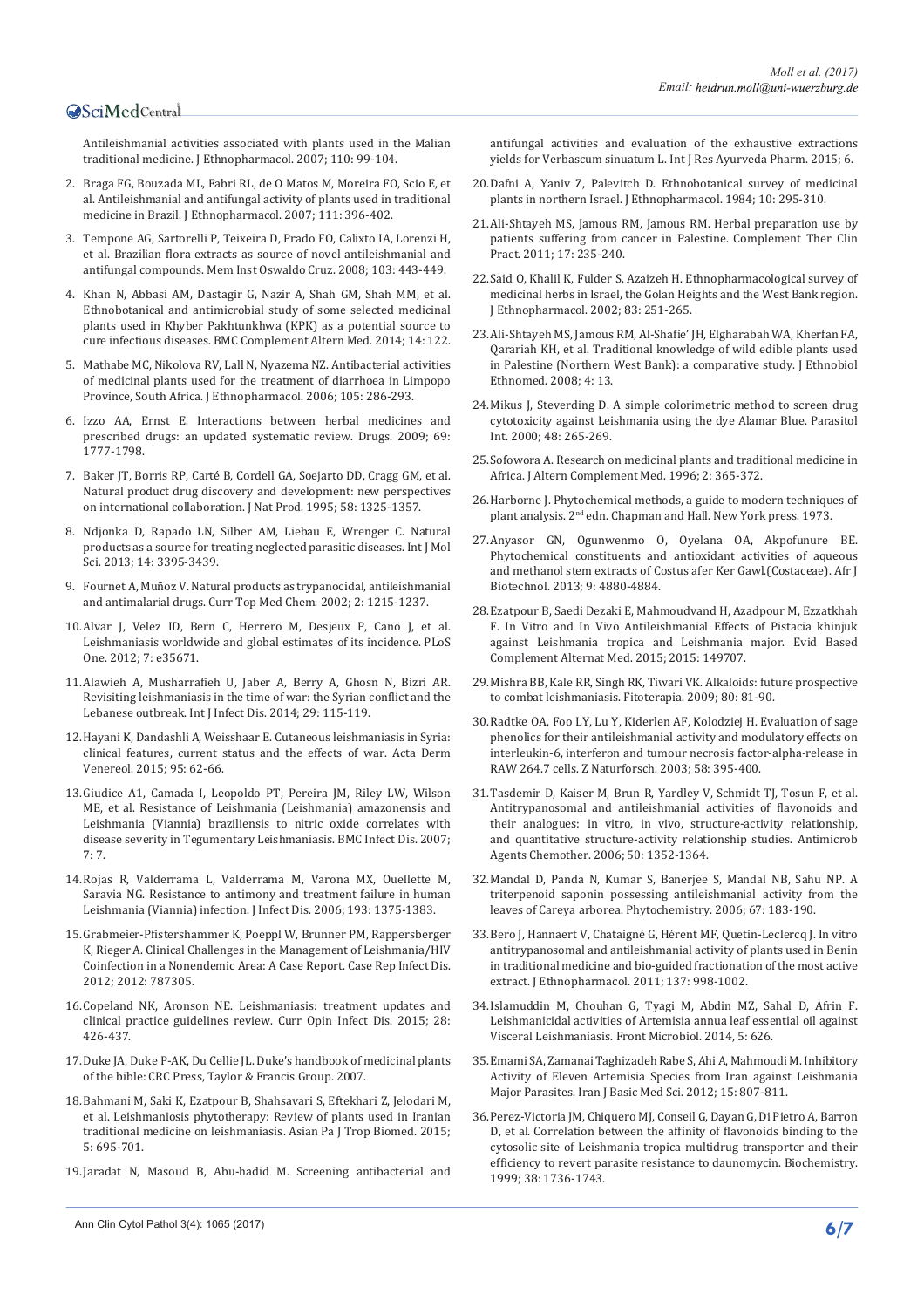Antileishmanial activities associated with plants used in the Malian traditional medicine. J Ethnopharmacol. 2007; 110: 99-104.

- 2. Braga FG, Bouzada ML, Fabri RL, de O Matos M, Moreira FO, Scio E, et al. Antileishmanial and antifungal activity of plants used in traditional medicine in Brazil. J Ethnopharmacol. 2007; 111: 396-402.
- 3. Tempone AG, Sartorelli P, Teixeira D, Prado FO, Calixto IA, Lorenzi H, et al. Brazilian flora extracts as source of novel antileishmanial and antifungal compounds. Mem Inst Oswaldo Cruz. 2008; 103: 443-449.
- 4. Khan N, Abbasi AM, Dastagir G, Nazir A, Shah GM, Shah MM, et al. Ethnobotanical and antimicrobial study of some selected medicinal plants used in Khyber Pakhtunkhwa (KPK) as a potential source to cure infectious diseases. BMC Complement Altern Med. 2014; 14: 122.
- 5. Mathabe MC, Nikolova RV, Lall N, Nyazema NZ. Antibacterial activities of medicinal plants used for the treatment of diarrhoea in Limpopo Province, South Africa. J Ethnopharmacol. 2006; 105: 286-293.
- 6. Izzo AA, Ernst E. Interactions between herbal medicines and prescribed drugs: an updated systematic review. Drugs. 2009; 69: 1777-1798.
- 7. Baker JT, Borris RP, Carté B, Cordell GA, Soejarto DD, Cragg GM, et al. Natural product drug discovery and development: new perspectives on international collaboration. J Nat Prod. 1995; 58: 1325-1357.
- 8. Ndjonka D, Rapado LN, Silber AM, Liebau E, Wrenger C. Natural products as a source for treating neglected parasitic diseases. Int J Mol Sci. 2013; 14: 3395-3439.
- 9. Fournet A, Muñoz V. Natural products as trypanocidal, antileishmanial and antimalarial drugs. Curr Top Med Chem. 2002; 2: 1215-1237.
- 10.Alvar J, Velez ID, Bern C, Herrero M, Desjeux P, Cano J, et al. Leishmaniasis worldwide and global estimates of its incidence. PLoS One. 2012; 7: e35671.
- 11.Alawieh A, Musharrafieh U, Jaber A, Berry A, Ghosn N, Bizri AR. Revisiting leishmaniasis in the time of war: the Syrian conflict and the Lebanese outbreak. Int J Infect Dis. 2014; 29: 115-119.
- 12.Hayani K, Dandashli A, Weisshaar E. Cutaneous leishmaniasis in Syria: clinical features, current status and the effects of war. Acta Derm Venereol. 2015; 95: 62-66.
- 13.Giudice A1, Camada I, Leopoldo PT, Pereira JM, Riley LW, Wilson ME, et al. Resistance of Leishmania (Leishmania) amazonensis and Leishmania (Viannia) braziliensis to nitric oxide correlates with disease severity in Tegumentary Leishmaniasis. BMC Infect Dis. 2007; 7: 7.
- 14.Rojas R, Valderrama L, Valderrama M, Varona MX, Ouellette M, Saravia NG. Resistance to antimony and treatment failure in human Leishmania (Viannia) infection. J Infect Dis. 2006; 193: 1375-1383.
- 15.Grabmeier-Pfistershammer K, Poeppl W, Brunner PM, Rappersberger K, Rieger A. Clinical Challenges in the Management of Leishmania/HIV Coinfection in a Nonendemic Area: A Case Report. Case Rep Infect Dis. 2012; 2012: 787305.
- 16.Copeland NK, Aronson NE. Leishmaniasis: treatment updates and clinical practice guidelines review. Curr Opin Infect Dis. 2015; 28: 426-437.
- 17.Duke JA, Duke P-AK, Du Cellie JL. Duke's handbook of medicinal plants of the bible: CRC Press, Taylor & Francis Group. 2007.
- 18.Bahmani M, Saki K, Ezatpour B, Shahsavari S, Eftekhari Z, Jelodari M, et al. Leishmaniosis phytotherapy: Review of plants used in Iranian traditional medicine on leishmaniasis. Asian Pa J Trop Biomed. 2015; 5: 695-701.
- 19.Jaradat N, Masoud B, Abu-hadid M. Screening antibacterial and

antifungal activities and evaluation of the exhaustive extractions yields for Verbascum sinuatum L. Int J Res Ayurveda Pharm. 2015; 6.

- 20.Dafni A, Yaniv Z, Palevitch D. Ethnobotanical survey of medicinal plants in northern Israel. J Ethnopharmacol. 1984; 10: 295-310.
- 21.Ali-Shtayeh MS, Jamous RM, Jamous RM. Herbal preparation use by patients suffering from cancer in Palestine. Complement Ther Clin Pract. 2011; 17: 235-240.
- 22.Said O, Khalil K, Fulder S, Azaizeh H. Ethnopharmacological survey of medicinal herbs in Israel, the Golan Heights and the West Bank region. J Ethnopharmacol. 2002; 83: 251-265.
- 23.Ali-Shtayeh MS, Jamous RM, Al-Shafie' JH, Elgharabah WA, Kherfan FA, Qarariah KH, et al. Traditional knowledge of wild edible plants used in Palestine (Northern West Bank): a comparative study. J Ethnobiol Ethnomed. 2008; 4: 13.
- 24.Mikus J, Steverding D. A simple colorimetric method to screen drug cytotoxicity against Leishmania using the dye Alamar Blue. Parasitol Int. 2000; 48: 265-269.
- 25.Sofowora A. Research on medicinal plants and traditional medicine in Africa. J Altern Complement Med. 1996; 2: 365-372.
- 26.Harborne J. Phytochemical methods, a guide to modern techniques of plant analysis. 2nd edn. Chapman and Hall. New York press. 1973.
- 27.Anyasor GN, Ogunwenmo O, Oyelana OA, Akpofunure BE. Phytochemical constituents and antioxidant activities of aqueous and methanol stem extracts of Costus afer Ker Gawl.(Costaceae). Afr J Biotechnol. 2013; 9: 4880-4884.
- 28.Ezatpour B, Saedi Dezaki E, Mahmoudvand H, Azadpour M, Ezzatkhah F. In Vitro and In Vivo Antileishmanial Effects of Pistacia khinjuk against Leishmania tropica and Leishmania major. Evid Based Complement Alternat Med. 2015; 2015: 149707.
- 29.Mishra BB, Kale RR, Singh RK, Tiwari VK. Alkaloids: future prospective to combat leishmaniasis. Fitoterapia. 2009; 80: 81-90.
- 30.Radtke OA, Foo LY, Lu Y, Kiderlen AF, Kolodziej H. Evaluation of sage phenolics for their antileishmanial activity and modulatory effects on interleukin-6, interferon and tumour necrosis factor-alpha-release in RAW 264.7 cells. Z Naturforsch. 2003; 58: 395-400.
- 31.Tasdemir D, Kaiser M, Brun R, Yardley V, Schmidt TJ, Tosun F, et al. Antitrypanosomal and antileishmanial activities of flavonoids and their analogues: in vitro, in vivo, structure-activity relationship, and quantitative structure-activity relationship studies. Antimicrob Agents Chemother. 2006; 50: 1352-1364.
- 32.Mandal D, Panda N, Kumar S, Banerjee S, Mandal NB, Sahu NP. A triterpenoid saponin possessing antileishmanial activity from the leaves of Careya arborea. Phytochemistry. 2006; 67: 183-190.
- 33.Bero J, Hannaert V, Chataigné G, Hérent MF, Quetin-Leclercq J. In vitro antitrypanosomal and antileishmanial activity of plants used in Benin in traditional medicine and bio-guided fractionation of the most active extract. J Ethnopharmacol. 2011; 137: 998-1002.
- 34.Islamuddin M, Chouhan G, Tyagi M, Abdin MZ, Sahal D, Afrin F. Leishmanicidal activities of Artemisia annua leaf essential oil against Visceral Leishmaniasis. Front Microbiol. 2014, 5: 626.
- 35.Emami SA, Zamanai Taghizadeh Rabe S, Ahi A, Mahmoudi M. Inhibitory Activity of Eleven Artemisia Species from Iran against Leishmania Major Parasites. Iran J Basic Med Sci. 2012; 15: 807-811.
- 36.Perez-Victoria JM, Chiquero MJ, Conseil G, Dayan G, Di Pietro A, Barron D, et al. Correlation between the affinity of flavonoids binding to the cytosolic site of Leishmania tropica multidrug transporter and their efficiency to revert parasite resistance to daunomycin. Biochemistry. 1999; 38: 1736-1743.